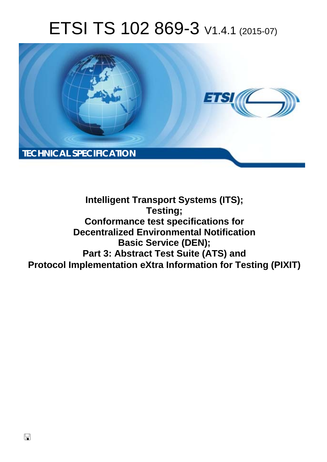# ETSI TS 102 869-3 V1.4.1 (2015-07)



**Intelligent Transport Systems (ITS); Testing; Conformance test specifications for Decentralized Environmental Notification Basic Service (DEN); Part 3: Abstract Test Suite (ATS) and Protocol Implementation eXtra Information for Testing (PIXIT)**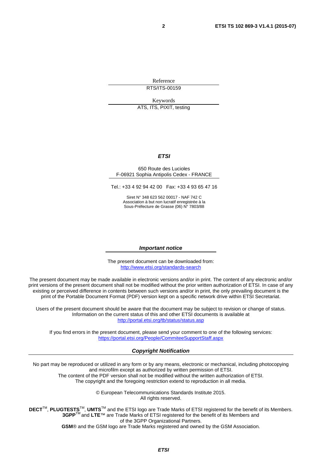Reference RTS/ITS-00159

Keywords

ATS, ITS, PIXIT, testing

#### *ETSI*

#### 650 Route des Lucioles F-06921 Sophia Antipolis Cedex - FRANCE

Tel.: +33 4 92 94 42 00 Fax: +33 4 93 65 47 16

Siret N° 348 623 562 00017 - NAF 742 C Association à but non lucratif enregistrée à la Sous-Préfecture de Grasse (06) N° 7803/88

#### *Important notice*

The present document can be downloaded from: <http://www.etsi.org/standards-search>

The present document may be made available in electronic versions and/or in print. The content of any electronic and/or print versions of the present document shall not be modified without the prior written authorization of ETSI. In case of any existing or perceived difference in contents between such versions and/or in print, the only prevailing document is the print of the Portable Document Format (PDF) version kept on a specific network drive within ETSI Secretariat.

Users of the present document should be aware that the document may be subject to revision or change of status. Information on the current status of this and other ETSI documents is available at <http://portal.etsi.org/tb/status/status.asp>

If you find errors in the present document, please send your comment to one of the following services: <https://portal.etsi.org/People/CommiteeSupportStaff.aspx>

#### *Copyright Notification*

No part may be reproduced or utilized in any form or by any means, electronic or mechanical, including photocopying and microfilm except as authorized by written permission of ETSI.

The content of the PDF version shall not be modified without the written authorization of ETSI. The copyright and the foregoing restriction extend to reproduction in all media.

> © European Telecommunications Standards Institute 2015. All rights reserved.

**DECT**TM, **PLUGTESTS**TM, **UMTS**TM and the ETSI logo are Trade Marks of ETSI registered for the benefit of its Members. **3GPP**TM and **LTE**™ are Trade Marks of ETSI registered for the benefit of its Members and of the 3GPP Organizational Partners.

**GSM**® and the GSM logo are Trade Marks registered and owned by the GSM Association.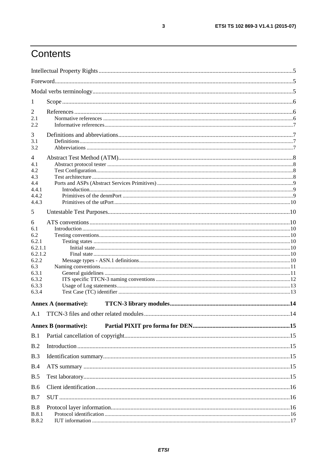## Contents

| 1                          |                             |  |
|----------------------------|-----------------------------|--|
| 2                          |                             |  |
| 2.1                        |                             |  |
| 2.2                        |                             |  |
| 3                          |                             |  |
| 3.1<br>3.2                 |                             |  |
|                            |                             |  |
| $\overline{4}$             |                             |  |
| 4.1                        |                             |  |
| 4.2<br>4.3                 |                             |  |
| 4.4                        |                             |  |
| 4.4.1                      |                             |  |
| 4.4.2                      |                             |  |
| 4.4.3                      |                             |  |
| 5                          |                             |  |
| 6                          |                             |  |
| 6.1                        |                             |  |
| 6.2                        |                             |  |
| 6.2.1                      |                             |  |
| 6.2.1.1                    |                             |  |
| 6.2.1.2                    |                             |  |
| 6.2.2                      |                             |  |
| 6.3<br>6.3.1               |                             |  |
| 6.3.2                      |                             |  |
| 6.3.3                      |                             |  |
| 6.3.4                      |                             |  |
|                            | <b>Annex A (normative):</b> |  |
|                            |                             |  |
|                            |                             |  |
|                            | <b>Annex B</b> (normative): |  |
| B.1                        |                             |  |
| B.2                        |                             |  |
| B.3                        |                             |  |
| B.4                        |                             |  |
| B.5                        |                             |  |
| <b>B.6</b>                 |                             |  |
| B.7                        |                             |  |
|                            |                             |  |
| <b>B.8</b><br><b>B.8.1</b> |                             |  |
| <b>B.8.2</b>               |                             |  |
|                            |                             |  |

 $\mathbf{3}$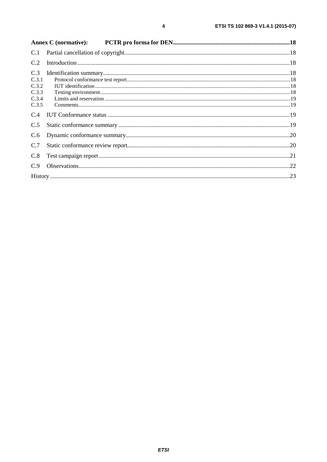| C.1                                              |  |
|--------------------------------------------------|--|
| C.2                                              |  |
| C.3<br>C.3.1<br>C.3.2<br>C.3.3<br>C.3.4<br>C.3.5 |  |
| C.4                                              |  |
| C.5                                              |  |
| C.6                                              |  |
| C.7                                              |  |
| C.8                                              |  |
| C.9                                              |  |
|                                                  |  |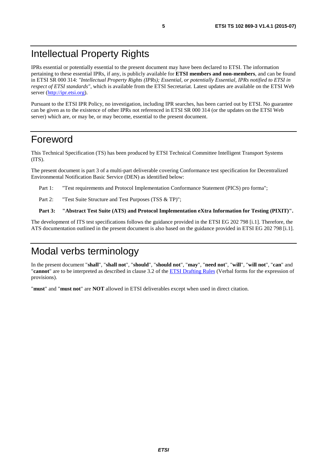## <span id="page-4-0"></span>Intellectual Property Rights

IPRs essential or potentially essential to the present document may have been declared to ETSI. The information pertaining to these essential IPRs, if any, is publicly available for **ETSI members and non-members**, and can be found in ETSI SR 000 314: *"Intellectual Property Rights (IPRs); Essential, or potentially Essential, IPRs notified to ETSI in respect of ETSI standards"*, which is available from the ETSI Secretariat. Latest updates are available on the ETSI Web server [\(http://ipr.etsi.org](http://webapp.etsi.org/IPR/home.asp)).

Pursuant to the ETSI IPR Policy, no investigation, including IPR searches, has been carried out by ETSI. No guarantee can be given as to the existence of other IPRs not referenced in ETSI SR 000 314 (or the updates on the ETSI Web server) which are, or may be, or may become, essential to the present document.

### Foreword

This Technical Specification (TS) has been produced by ETSI Technical Committee Intelligent Transport Systems (ITS).

The present document is part 3 of a multi-part deliverable covering Conformance test specification for Decentralized Environmental Notification Basic Service (DEN) as identified below:

- Part 1: "Test requirements and Protocol Implementation Conformance Statement (PICS) pro forma";
- Part 2: "Test Suite Structure and Test Purposes (TSS & TP)";

#### **Part 3: "Abstract Test Suite (ATS) and Protocol Implementation eXtra Information for Testing (PIXIT)".**

The development of ITS test specifications follows the guidance provided in the ETSI EG 202 798 [\[i.1](#page-6-0)]. Therefore, the ATS documentation outlined in the present document is also based on the guidance provided in ETSI EG 202 798 [\[i.1](#page-6-0)].

### Modal verbs terminology

In the present document "**shall**", "**shall not**", "**should**", "**should not**", "**may**", "**need not**", "**will**", "**will not**", "**can**" and "**cannot**" are to be interpreted as described in clause 3.2 of the [ETSI Drafting Rules](http://portal.etsi.org/Help/editHelp!/Howtostart/ETSIDraftingRules.aspx) (Verbal forms for the expression of provisions).

"**must**" and "**must not**" are **NOT** allowed in ETSI deliverables except when used in direct citation.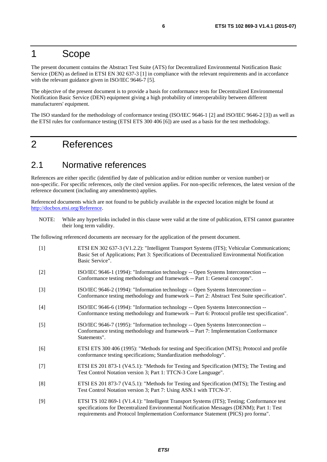### <span id="page-5-0"></span>1 Scope

The present document contains the Abstract Test Suite (ATS) for Decentralized Environmental Notification Basic Service (DEN) as defined in ETSI EN 302 637-3 [1] in compliance with the relevant requirements and in accordance with the relevant guidance given in ISO/IEC 9646-7 [5].

The objective of the present document is to provide a basis for conformance tests for Decentralized Environmental Notification Basic Service (DEN) equipment giving a high probability of interoperability between different manufacturers' equipment.

The ISO standard for the methodology of conformance testing (ISO/IEC 9646-1 [2] and ISO/IEC 9646-2 [3]) as well as the ETSI rules for conformance testing (ETSI ETS 300 406 [6]) are used as a basis for the test methodology.

## 2 References

### 2.1 Normative references

References are either specific (identified by date of publication and/or edition number or version number) or non-specific. For specific references, only the cited version applies. For non-specific references, the latest version of the reference document (including any amendments) applies.

Referenced documents which are not found to be publicly available in the expected location might be found at [http://docbox.etsi.org/Reference.](http://docbox.etsi.org/Reference)

NOTE: While any hyperlinks included in this clause were valid at the time of publication, ETSI cannot guarantee their long term validity.

The following referenced documents are necessary for the application of the present document.

[1] ETSI EN 302 637-3 (V1.2.2): "Intelligent Transport Systems (ITS); Vehicular Communications; Basic Set of Applications; Part 3: Specifications of Decentralized Environmental Notification Basic Service". [2] ISO/IEC 9646-1 (1994): "Information technology -- Open Systems Interconnection -- Conformance testing methodology and framework -- Part 1: General concepts". [3] ISO/IEC 9646-2 (1994): "Information technology -- Open Systems Interconnection -- Conformance testing methodology and framework -- Part 2: Abstract Test Suite specification". [4] ISO/IEC 9646-6 (1994): "Information technology -- Open Systems Interconnection -- Conformance testing methodology and framework -- Part 6: Protocol profile test specification". [5] ISO/IEC 9646-7 (1995): "Information technology -- Open Systems Interconnection -- Conformance testing methodology and framework -- Part 7: Implementation Conformance Statements". [6] ETSI ETS 300 406 (1995): "Methods for testing and Specification (MTS); Protocol and profile conformance testing specifications; Standardization methodology". [7] ETSI ES 201 873-1 (V4.5.1): "Methods for Testing and Specification (MTS); The Testing and Test Control Notation version 3; Part 1: TTCN-3 Core Language". [8] ETSI ES 201 873-7 (V4.5.1): "Methods for Testing and Specification (MTS); The Testing and Test Control Notation version 3; Part 7: Using ASN.1 with TTCN-3". [9] ETSI TS 102 869-1 (V1.4.1): "Intelligent Transport Systems (ITS); Testing; Conformance test specifications for Decentralized Environmental Notification Messages (DENM); Part 1: Test requirements and Protocol Implementation Conformance Statement (PICS) pro forma".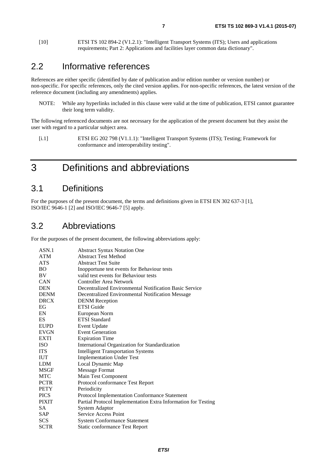<span id="page-6-0"></span>[10] ETSI TS 102 894-2 (V1.2.1): "Intelligent Transport Systems (ITS); Users and applications requirements; Part 2: Applications and facilities layer common data dictionary".

### 2.2 Informative references

References are either specific (identified by date of publication and/or edition number or version number) or non-specific. For specific references, only the cited version applies. For non-specific references, the latest version of the reference document (including any amendments) applies.

NOTE: While any hyperlinks included in this clause were valid at the time of publication, ETSI cannot guarantee their long term validity.

The following referenced documents are not necessary for the application of the present document but they assist the user with regard to a particular subject area.

[i.1] ETSI EG 202 798 (V1.1.1): "Intelligent Transport Systems (ITS); Testing; Framework for conformance and interoperability testing".

## 3 Definitions and abbreviations

### 3.1 Definitions

For the purposes of the present document, the terms and definitions given in ETSI EN 302 637-3 [\[1](#page-5-0)], ISO/IEC 9646-1 [\[2\]](#page-5-0) and ISO/IEC 9646-7 [[5\]](#page-5-0) apply.

### 3.2 Abbreviations

For the purposes of the present document, the following abbreviations apply:

| ASN.1        | <b>Abstract Syntax Notation One</b>                           |
|--------------|---------------------------------------------------------------|
| <b>ATM</b>   | <b>Abstract Test Method</b>                                   |
| <b>ATS</b>   | <b>Abstract Test Suite</b>                                    |
| <b>BO</b>    | Inopportune test events for Behaviour tests                   |
| BV           | valid test events for Behaviour tests                         |
| CAN          | Controller Area Network                                       |
| <b>DEN</b>   | Decentralized Environmental Notification Basic Service        |
| <b>DENM</b>  | Decentralized Environmental Notification Message              |
| <b>DRCX</b>  | <b>DENM</b> Reception                                         |
| EG           | <b>ETSI</b> Guide                                             |
| EN           | European Norm                                                 |
| ES           | <b>ETSI</b> Standard                                          |
| <b>EUPD</b>  | <b>Event Update</b>                                           |
| <b>EVGN</b>  | <b>Event Generation</b>                                       |
| <b>EXTI</b>  | <b>Expiration Time</b>                                        |
| <b>ISO</b>   | International Organization for Standardization                |
| <b>ITS</b>   | <b>Intelligent Transportation Systems</b>                     |
| <b>IUT</b>   | <b>Implementation Under Test</b>                              |
| <b>LDM</b>   | Local Dynamic Map                                             |
| <b>MSGF</b>  | <b>Message Format</b>                                         |
| <b>MTC</b>   | Main Test Component                                           |
| <b>PCTR</b>  | Protocol conformance Test Report                              |
| <b>PETY</b>  | Periodicity                                                   |
| <b>PICS</b>  | Protocol Implementation Conformance Statement                 |
| <b>PIXIT</b> | Partial Protocol Implementation Extra Information for Testing |
| SA.          | <b>System Adaptor</b>                                         |
| <b>SAP</b>   | Service Access Point                                          |
| <b>SCS</b>   | <b>System Conformance Statement</b>                           |
| <b>SCTR</b>  | <b>Static conformance Test Report</b>                         |
|              |                                                               |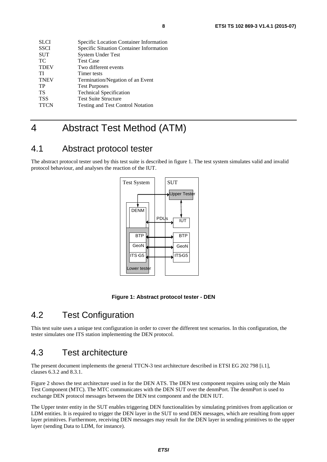<span id="page-7-0"></span>

| <b>SLCI</b> | Specific Location Container Information  |
|-------------|------------------------------------------|
| <b>SSCI</b> | Specific Situation Container Information |
| <b>SUT</b>  | <b>System Under Test</b>                 |
| <b>TC</b>   | <b>Test Case</b>                         |
| <b>TDEV</b> | Two different events                     |
| ТI          | Timer tests                              |
| <b>TNEV</b> | Termination/Negation of an Event         |
| TP          | <b>Test Purposes</b>                     |
| TS          | <b>Technical Specification</b>           |
| <b>TSS</b>  | <b>Test Suite Structure</b>              |
| <b>TTCN</b> | <b>Testing and Test Control Notation</b> |

## 4 Abstract Test Method (ATM)

### 4.1 Abstract protocol tester

The abstract protocol tester used by this test suite is described in figure 1. The test system simulates valid and invalid protocol behaviour, and analyses the reaction of the IUT.





### 4.2 Test Configuration

This test suite uses a unique test configuration in order to cover the different test scenarios. In this configuration, the tester simulates one ITS station implementing the DEN protocol.

### 4.3 Test architecture

The present document implements the general TTCN-3 test architecture described in ETSI EG 202 798 [\[i.1](#page-6-0)], clauses 6.3.2 and 8.3.1.

Figure [2](#page-8-0) shows the test architecture used in for the DEN ATS. The DEN test component requires using only the Main Test Component (MTC). The MTC communicates with the DEN SUT over the denmPort. The denmPort is used to exchange DEN protocol messages between the DEN test component and the DEN IUT.

The Upper tester entity in the SUT enables triggering DEN functionalities by simulating primitives from application or LDM entities. It is required to trigger the DEN layer in the SUT to send DEN messages, which are resulting from upper layer primitives. Furthermore, receiving DEN messages may result for the DEN layer in sending primitives to the upper layer (sending Data to LDM, for instance).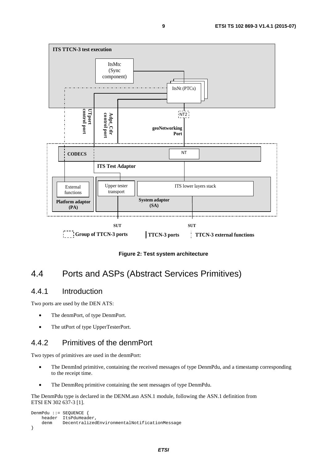<span id="page-8-0"></span>

**Figure 2: Test system architecture** 

### 4.4 Ports and ASPs (Abstract Services Primitives)

#### 4.4.1 Introduction

Two ports are used by the DEN ATS:

- The denmPort, of type DenmPort.
- The utPort of type UpperTesterPort.

#### 4.4.2 Primitives of the denmPort

Two types of primitives are used in the denmPort:

- The DenmInd primitive, containing the received messages of type DenmPdu, and a timestamp corresponding to the receipt time.
- The DenmReq primitive containing the sent messages of type DenmPdu.

The DenmPdu type is declared in the DENM.asn ASN.1 module, following the ASN.1 definition from ETSI EN 302 637-3 [\[1](#page-5-0)].

```
DenmPdu ::= SEQUENCE { 
     header ItsPduHeader, 
     denm DecentralizedEnvironmentalNotificationMessage 
}
```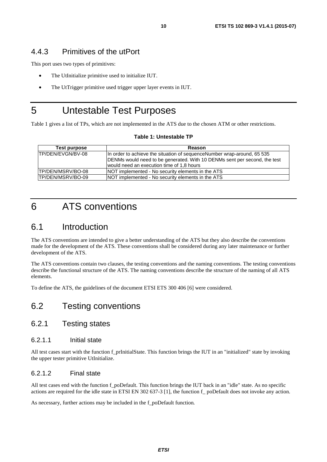#### <span id="page-9-0"></span>4.4.3 Primitives of the utPort

This port uses two types of primitives:

- The UtInitialize primitive used to initialize IUT.
- The UtTrigger primitive used trigger upper layer events in IUT.

## 5 Untestable Test Purposes

Table 1 gives a list of TPs, which are not implemented in the ATS due to the chosen ATM or other restrictions.

#### **Table 1: Untestable TP**

| Test purpose      | Reason                                                                    |
|-------------------|---------------------------------------------------------------------------|
| TP/DEN/EVGN/BV-08 | In order to achieve the situation of sequence Number wrap-around, 65 535  |
|                   | DENMs would need to be generated. With 10 DENMs sent per second, the test |
|                   | would need an execution time of 1,8 hours                                 |
| TP/DEN/MSRV/BO-08 | NOT implemented - No security elements in the ATS                         |
| TP/DEN/MSRV/BO-09 | NOT implemented - No security elements in the ATS                         |

## 6 ATS conventions

### 6.1 Introduction

The ATS conventions are intended to give a better understanding of the ATS but they also describe the conventions made for the development of the ATS. These conventions shall be considered during any later maintenance or further development of the ATS.

The ATS conventions contain two clauses, the testing conventions and the naming conventions. The testing conventions describe the functional structure of the ATS. The naming conventions describe the structure of the naming of all ATS elements.

To define the ATS, the guidelines of the document ETSI ETS 300 406 [\[6](#page-5-0)] were considered.

### 6.2 Testing conventions

### 6.2.1 Testing states

#### 6.2.1.1 Initial state

All test cases start with the function f\_prInitialState. This function brings the IUT in an "initialized" state by invoking the upper tester primitive UtInitialize.

#### 6.2.1.2 Final state

All test cases end with the function f\_poDefault. This function brings the IUT back in an "idle" state. As no specific actions are required for the idle state in ETSI EN 302 637-3 [\[1](#page-5-0)], the function f\_ poDefault does not invoke any action.

As necessary, further actions may be included in the f\_poDefault function*.*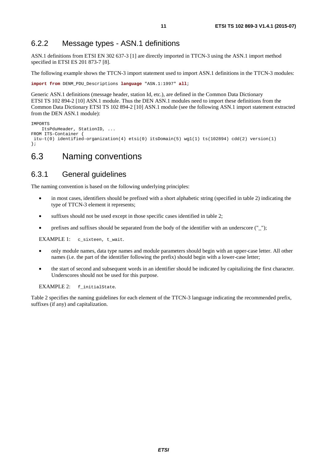### <span id="page-10-0"></span>6.2.2 Message types - ASN.1 definitions

ASN.1 definitions from ETSI EN 302 637-3 [\[1](#page-5-0)] are directly imported in TTCN-3 using the ASN.1 import method specified in ETSI ES 201 873-7 [\[8](#page-5-0)].

The following example shows the TTCN-3 import statement used to import ASN.1 definitions in the TTCN-3 modules:

**import from** DENM\_PDU\_Descriptions **language** "ASN.1:1997" **all**;

Generic ASN.1 definitions (message header, station Id, etc.), are defined in the Common Data Dictionary ETSI TS 102 894-2 [\[10](#page-6-0)] ASN.1 module. Thus the DEN ASN.1 modules need to import these definitions from the Common Data Dictionary ETSI TS 102 894-2 [\[10\]](#page-6-0) ASN.1 module (see the following ASN.1 import statement extracted from the DEN ASN.1 module):

```
IMPORTS 
    ItsPduHeader, StationID, ... 
FROM ITS-Container {
 itu-t(0) identified-organization(4) etsi(0) itsDomain(5) wg1(1) ts(102894) cdd(2) version(1) 
};
```
### 6.3 Naming conventions

#### 6.3.1 General guidelines

The naming convention is based on the following underlying principles:

- in most cases, identifiers should be prefixed with a short alphabetic string (specified in table [2](#page-11-0)) indicating the type of TTCN-3 element it represents;
- suffixes should not be used except in those specific cases identified in table 2;
- prefixes and suffixes should be separated from the body of the identifier with an underscore (" $"$ );

EXAMPLE 1: c\_sixteen, t\_wait.

- only module names, data type names and module parameters should begin with an upper-case letter. All other names (i.e. the part of the identifier following the prefix) should begin with a lower-case letter;
- the start of second and subsequent words in an identifier should be indicated by capitalizing the first character. Underscores should not be used for this purpose.

EXAMPLE 2: f\_initialState.

Table [2](#page-11-0) specifies the naming guidelines for each element of the TTCN-3 language indicating the recommended prefix, suffixes (if any) and capitalization.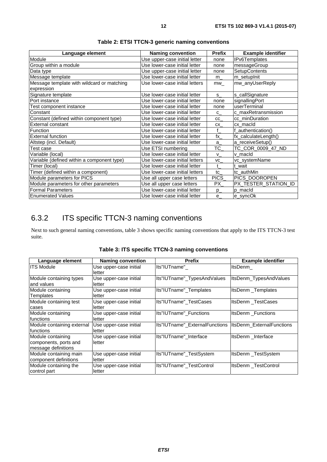<span id="page-11-0"></span>

| Language element                           | <b>Naming convention</b>       | <b>Prefix</b>   | <b>Example identifier</b> |
|--------------------------------------------|--------------------------------|-----------------|---------------------------|
| Module                                     | Use upper-case initial letter  | none            | <b>IPv6Templates</b>      |
| Group within a module                      | Use lower-case initial letter  | none            | messageGroup              |
| Data type                                  | Use upper-case initial letter  | none            | <b>SetupContents</b>      |
| Message template                           | Use lower-case initial letter  | $m_{-}$         | m_setupInit               |
| Message template with wildcard or matching | Use lower-case initial letters | mw              | mw_anyUserReply           |
| expression                                 |                                |                 |                           |
| Signature template                         | Use lower-case initial letter  | s               | s_callSignature           |
| Port instance                              | Use lower-case initial letter  | none            | signallingPort            |
| Test component instance                    | Use lower-case initial letter  | none            | userTerminal              |
| Constant                                   | Use lower-case initial letter  | $C_{-}$         | c_maxRetransmission       |
| Constant (defined within component type)   | Use lower-case initial letter  | CC              | cc_minDuration            |
| External constant                          | Use lower-case initial letter  | CX              | cx_macId                  |
| <b>Function</b>                            | Use lower-case initial letter  | f               | _authentication()         |
| <b>External function</b>                   | Use lower-case initial letter  | $\mathsf{fx}\_$ | fx_calculateLength()      |
| Altstep (incl. Default)                    | Use lower-case initial letter  | a               | a_receiveSetup()          |
| Test case                                  | Use ETSI numbering             | $TC_$           | TC_COR_0009_47_ND         |
| Variable (local)                           | Use lower-case initial letter  | <b>V</b>        | v macld                   |
| Variable (defined within a component type) | Use lower-case initial letters | $VC_$           | vc_systemName             |
| Timer (local)                              | Use lower-case initial letter  | t               | t wait                    |
| Timer (defined within a component)         | Use lower-case initial letters | tc              | tc_authMin                |
| Module parameters for PICS                 | Use all upper case letters     | PICS            | PICS_DOOROPEN             |
| Module parameters for other parameters     | Use all upper case letters     | PX              | PX_TESTER_STATION_ID      |
| <b>Formal Parameters</b>                   | Use lower-case initial letter  | $p_{-}$         | p macld                   |
| <b>Enumerated Values</b>                   | Use lower-case initial letter  | e               | e_syncOk                  |

**Table 2: ETSI TTCN-3 generic naming conventions** 

### 6.3.2 ITS specific TTCN-3 naming conventions

Next to such general naming conventions, table 3 shows specific naming conventions that apply to the ITS TTCN-3 test suite.

| Language element           | <b>Naming convention</b> | <b>Prefix</b>                                             | <b>Example identifier</b> |
|----------------------------|--------------------------|-----------------------------------------------------------|---------------------------|
| <b>ITS Module</b>          | Use upper-case initial   | Its"IUTname"                                              | ItsDenm                   |
|                            | letter                   |                                                           |                           |
| Module containing types    | Use upper-case initial   | Its"IUTname"_TypesAndValues                               | ItsDenm_TypesAndValues    |
| and values                 | letter                   |                                                           |                           |
| Module containing          | Use upper-case initial   | Its"IUTname" Templates                                    | ItsDenm Templates         |
| Templates                  | letter                   |                                                           |                           |
| Module containing test     | Use upper-case initial   | Its"IUTname" TestCases                                    | ItsDenm TestCases         |
| cases                      | letter                   |                                                           |                           |
| Module containing          | Use upper-case initial   | Its"IUTname"_Functions                                    | <b>ItsDenm</b> Functions  |
| functions                  | letter                   |                                                           |                           |
| Module containing external | Use upper-case initial   | Its"IUTname" ExternalFunctions  ItsDenm ExternalFunctions |                           |
| functions                  | letter                   |                                                           |                           |
| Module containing          | Use upper-case initial   | Its"IUTname" Interface                                    | ItsDenm Interface         |
| components, ports and      | letter                   |                                                           |                           |
| message definitions        |                          |                                                           |                           |
| Module containing main     | Use upper-case initial   | Its"IUTname" TestSystem                                   | ItsDenm TestSystem        |
| component definitions      | letter                   |                                                           |                           |
| Module containing the      | Use upper-case initial   | Its"IUTname" TestControl                                  | ItsDenm TestControl       |
| control part               | letter                   |                                                           |                           |

|  |  | Table 3: ITS specific TTCN-3 naming conventions |  |
|--|--|-------------------------------------------------|--|
|--|--|-------------------------------------------------|--|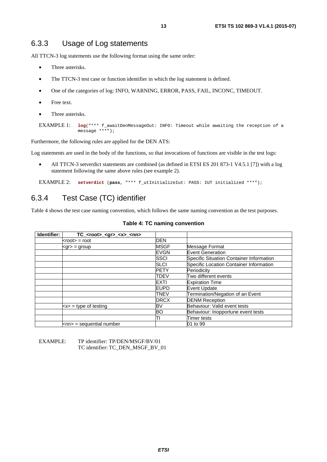#### <span id="page-12-0"></span>6.3.3 Usage of Log statements

All TTCN-3 log statements use the following format using the same order:

- Three asterisks.
- The TTCN-3 test case or function identifier in which the log statement is defined.
- One of the categories of log: INFO, WARNING, ERROR, PASS, FAIL, INCONC, TIMEOUT.
- Free text.
- Three asterisks.

```
EXAMPLE 1: log("*** f_awaitDenMessageOut: INFO: Timeout while awaiting the reception of a 
              message ***");
```
Furthermore, the following rules are applied for the DEN ATS:

Log statements are used in the body of the functions, so that invocations of functions are visible in the test logs:

• All TTCN-3 setverdict statements are combined (as defined in ETSI ES 201 873-1 V4.5.1 [\[7](#page-5-0)]) with a log statement following the same above rules (see example 2).

EXAMPLE 2: **setverdict** (**pass**, "\*\*\* f\_utInitializeIut: PASS: IUT initialized \*\*\*");

### 6.3.4 Test Case (TC) identifier

Table 4 shows the test case naming convention, which follows the same naming convention as the test purposes.

| Identifier: | TC_ <root>_<gr>_<x>_<nn></nn></x></gr></root>        |             |                                          |
|-------------|------------------------------------------------------|-------------|------------------------------------------|
|             | $<$ root $>$ = root                                  | <b>DEN</b>  |                                          |
|             | $<$ gr $>$ = group                                   | <b>MSGF</b> | Message Format                           |
|             |                                                      | <b>EVGN</b> | Event Generation                         |
|             |                                                      | SSCI        | Specific Situation Container Information |
|             |                                                      | SLCI        | Specific Location Container Information  |
|             |                                                      | <b>PETY</b> | Periodicity                              |
|             |                                                      | TDEV        | Two different events                     |
|             |                                                      | EXTI        | <b>Expiration Time</b>                   |
|             |                                                      | <b>EUPD</b> | <b>Event Update</b>                      |
|             |                                                      | <b>TNEV</b> | Termination/Negation of an Event         |
|             |                                                      | <b>DRCX</b> | <b>DENM Reception</b>                    |
|             | $\left  \langle x \rangle \right  =$ type of testing | BV          | Behaviour: Valid event tests             |
|             |                                                      | ΒO          | Behaviour: Inopportune event tests       |
|             |                                                      |             | <b>Timer tests</b>                       |
|             | $\mathsf{knn}$ = sequential number                   |             | 01 to 99                                 |

#### **Table 4: TC naming convention**

EXAMPLE: TP identifier: TP/DEN/MSGF/BV/01 TC identifier: TC\_DEN\_MSGF\_BV\_01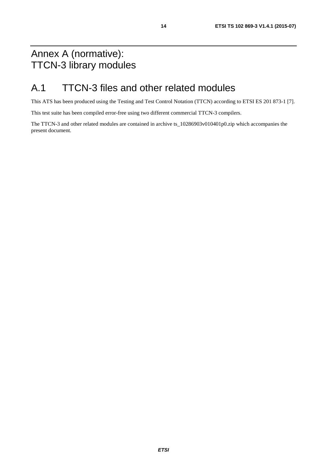## <span id="page-13-0"></span>Annex A (normative): TTCN-3 library modules

## A.1 TTCN-3 files and other related modules

This ATS has been produced using the Testing and Test Control Notation (TTCN) according to ETSI ES 201 873-1 [\[7](#page-5-0)].

This test suite has been compiled error-free using two different commercial TTCN-3 compilers.

The TTCN-3 and other related modules are contained in archive ts\_10286903v010401p0.zip which accompanies the present document.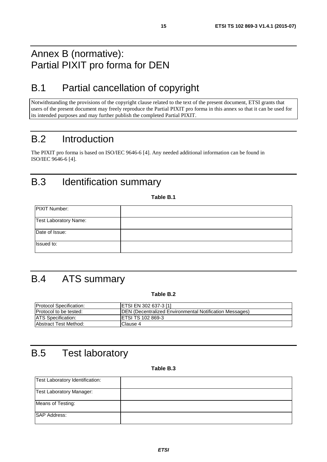## <span id="page-14-0"></span>Annex B (normative): Partial PIXIT pro forma for DEN

## B.1 Partial cancellation of copyright

Notwithstanding the provisions of the copyright clause related to the text of the present document, ETSI grants that users of the present document may freely reproduce the Partial PIXIT pro forma in this annex so that it can be used for its intended purposes and may further publish the completed Partial PIXIT.

## B.2 Introduction

The PIXIT pro forma is based on ISO/IEC 9646-6 [\[4](#page-5-0)]. Any needed additional information can be found in ISO/IEC 9646-6 [\[4\]](#page-5-0).

## B.3 Identification summary

**Table B.1** 

| PIXIT Number:         |  |
|-----------------------|--|
| Test Laboratory Name: |  |
| Date of Issue:        |  |
| Issued to:            |  |

## B.4 ATS summary

#### **Table B.2**

| <b>Protocol Specification:</b> | <b>ETSI EN 302 637-3 [1]</b>                                    |
|--------------------------------|-----------------------------------------------------------------|
| <b>Protocol to be tested:</b>  | <b>IDEN</b> (Decentralized Environmental Notification Messages) |
| <b>ATS</b> Specification:      | <b>IETSI TS 102 869-3</b>                                       |
| <b>Abstract Test Method:</b>   | IClause 4                                                       |

## B.5 Test laboratory

#### **Table B.3**

| Test Laboratory Identification: |  |
|---------------------------------|--|
| <b>Test Laboratory Manager:</b> |  |
| Means of Testing:               |  |
| <b>SAP Address:</b>             |  |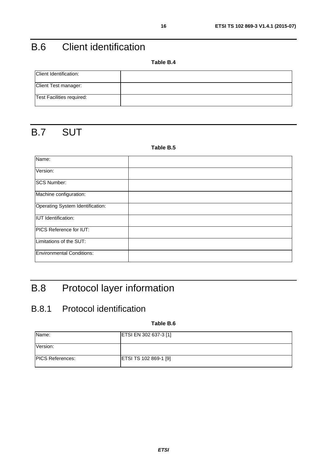## <span id="page-15-0"></span>B.6 Client identification

**Table B.4** 

| Client Identification:    |  |
|---------------------------|--|
| Client Test manager:      |  |
| Test Facilities required: |  |

## B.7 SUT

#### **Table B.5**

| Name:                            |  |
|----------------------------------|--|
| Version:                         |  |
| <b>SCS Number:</b>               |  |
| Machine configuration:           |  |
| Operating System Identification: |  |
| <b>IUT</b> Identification:       |  |
| PICS Reference for IUT:          |  |
| Limitations of the SUT:          |  |
| <b>Environmental Conditions:</b> |  |

## B.8 Protocol layer information

## B.8.1 Protocol identification

**Table B.6** 

| Name:                    | ETSI EN 302 637-3 [1] |
|--------------------------|-----------------------|
| Version:                 |                       |
| <b>IPICS References:</b> | ETSI TS 102 869-1 [9] |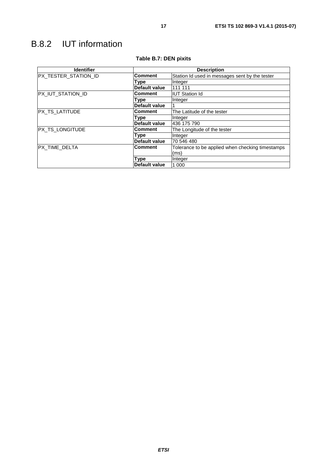## <span id="page-16-0"></span>B.8.2 IUT information

| <b>Identifier</b>    | <b>Description</b>   |                                                  |  |
|----------------------|----------------------|--------------------------------------------------|--|
| PX_TESTER_STATION_ID | <b>Comment</b>       | Station Id used in messages sent by the tester   |  |
|                      | Type                 | Integer                                          |  |
|                      | Default value        | 111 111                                          |  |
| PX_IUT_STATION_ID    | <b>Comment</b>       | <b>IUT Station Id</b>                            |  |
|                      | Type                 | Integer                                          |  |
|                      | <b>Default value</b> |                                                  |  |
| PX_TS_LATITUDE       | <b>Comment</b>       | The Latitude of the tester                       |  |
|                      | Type                 | Integer                                          |  |
|                      | Default value        | 436 175 790                                      |  |
| PX_TS_LONGITUDE      | Comment              | The Longitude of the tester                      |  |
|                      | Type                 | Integer                                          |  |
|                      | Default value        | 70 546 480                                       |  |
| PX_TIME_DELTA        | <b>Comment</b>       | Tolerance to be applied when checking timestamps |  |
|                      |                      | (ms)                                             |  |
|                      | Type                 | Integer                                          |  |
|                      | Default value        | 1 0 0 0                                          |  |

#### **Table B.7: DEN pixits**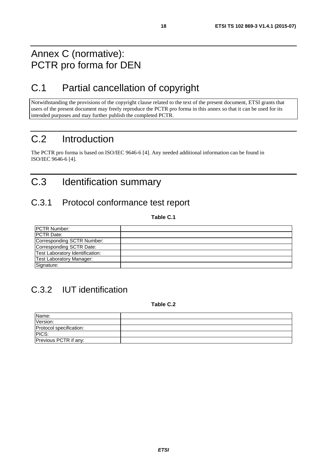## <span id="page-17-0"></span>Annex C (normative): PCTR pro forma for DEN

## C.1 Partial cancellation of copyright

Notwithstanding the provisions of the copyright clause related to the text of the present document, ETSI grants that users of the present document may freely reproduce the PCTR pro forma in this annex so that it can be used for its intended purposes and may further publish the completed PCTR.

## C.2 Introduction

The PCTR pro forma is based on ISO/IEC 9646-6 [\[4\]](#page-5-0). Any needed additional information can be found in ISO/IEC 9646-6 [\[4\]](#page-5-0).

## C.3 Identification summary

### C.3.1 Protocol conformance test report

**Table C.1** 

| PCTR Number:                    |  |
|---------------------------------|--|
| <b>IPCTR Date:</b>              |  |
| Corresponding SCTR Number:      |  |
| Corresponding SCTR Date:        |  |
| Test Laboratory Identification: |  |
| <b>Test Laboratory Manager:</b> |  |
| Signature:                      |  |

## C.3.2 IUT identification

**Table C.2** 

| Name:                   |  |
|-------------------------|--|
| Version:                |  |
| Protocol specification: |  |
| PICS:                   |  |
| Previous PCTR if any:   |  |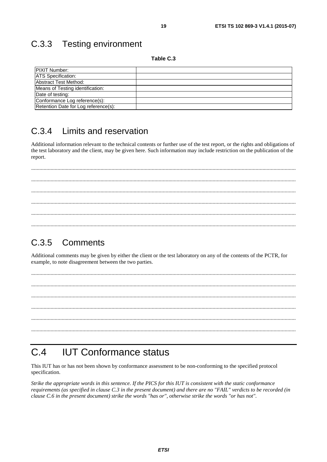Table C.3

19

<span id="page-18-0"></span>

| <b>PIXIT Number:</b>                 |  |
|--------------------------------------|--|
| <b>ATS</b> Specification:            |  |
| Abstract Test Method:                |  |
| Means of Testing identification:     |  |
| Date of testing:                     |  |
| Conformance Log reference(s):        |  |
| Retention Date for Log reference(s): |  |

#### $C.34$ Limits and reservation

Additional information relevant to the technical contents or further use of the test report, or the rights and obligations of the test laboratory and the client, may be given here. Such information may include restriction on the publication of the report.

#### $C.3.5$ Comments

Additional comments may be given by either the client or the test laboratory on any of the contents of the PCTR, for example, to note disagreement between the two parties.

#### $C.4$ **IUT Conformance status**

This IUT has or has not been shown by conformance assessment to be non-conforming to the specified protocol specification.

Strike the appropriate words in this sentence. If the PICS for this IUT is consistent with the static conformance requirements (as specified in clause C.3 in the present document) and there are no "FAIL" verdicts to be recorded (in clause C.6 in the present document) strike the words "has or", otherwise strike the words "or has not".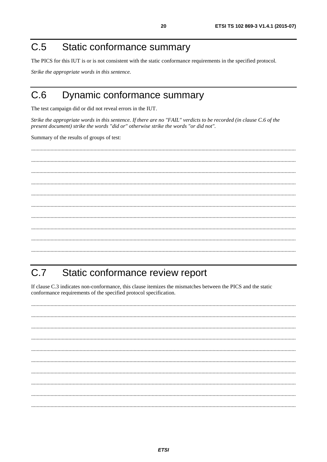#### <span id="page-19-0"></span>Static conformance summary  $C.5$

The PICS for this IUT is or is not consistent with the static conformance requirements in the specified protocol.

Strike the appropriate words in this sentence.

#### $C.6$ Dynamic conformance summary

The test campaign did or did not reveal errors in the IUT.

Strike the appropriate words in this sentence. If there are no "FAIL" verdicts to be recorded (in clause C.6 of the present document) strike the words "did or" otherwise strike the words "or did not".

Summary of the results of groups of test:

#### Static conformance review report  $C.7$

If clause C.3 indicates non-conformance, this clause itemizes the mismatches between the PICS and the static conformance requirements of the specified protocol specification.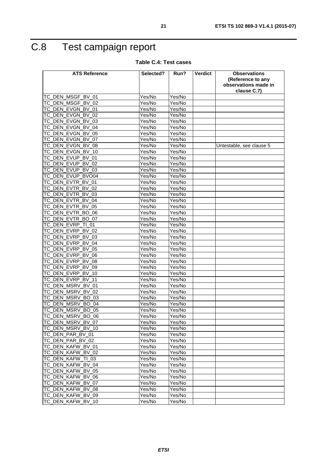## <span id="page-20-0"></span>C.8 Test campaign report

#### **Table C.4: Test cases**

| <b>ATS Reference</b>                   | Selected?            | Run?   | <b>Verdict</b> | <b>Observations</b>      |
|----------------------------------------|----------------------|--------|----------------|--------------------------|
|                                        |                      |        |                | (Reference to any        |
|                                        |                      |        |                | observations made in     |
|                                        |                      |        |                | clause C.7)              |
| TC_DEN_MSGF_BV_01                      | Yes/No               | Yes/No |                |                          |
| TC_DEN_MSGF_BV_02<br>TC DEN EVGN BV 01 | Yes/No               | Yes/No |                |                          |
|                                        | Yes/No               | Yes/No |                |                          |
| TC_DEN_EVGN_BV_02                      | Yes/No               | Yes/No |                |                          |
| TC_DEN_EVGN_BV_03                      | Yes/No               | Yes/No |                |                          |
| TC_DEN_EVGN_BV_04                      | Yes/No               | Yes/No |                |                          |
| TC_DEN_EVGN_BV_05                      | Yes/No               | Yes/No |                |                          |
| TC_DEN_EVGN_BV_07                      | Yes/No               | Yes/No |                |                          |
| TC_DEN_EVGN_BV_08                      | Yes/No               | Yes/No |                | Untestable, see clause 5 |
| TC_DEN_EVGN_BV_10                      | Yes/No               | Yes/No |                |                          |
| TC_DEN_EVUP_BV_01                      | Yes/No               | Yes/No |                |                          |
| TC_DEN_EVUP_BV_02                      | Yes/No               | Yes/No |                |                          |
| TC_DEN_EVUP_BV_03                      | Yes/No               | Yes/No |                |                          |
| TC DEN EVUP BVO04                      | Yes/No               | Yes/No |                |                          |
| TC_DEN_EVTR_BV_01                      | Yes/No               | Yes/No |                |                          |
| TC_DEN_EVTR_BV_02                      | Yes/No               | Yes/No |                |                          |
| TC_DEN_EVTR_BV_03                      | $\overline{Y}$ es/No | Yes/No |                |                          |
| TC DEN EVTR BV 04                      | Yes/No               | Yes/No |                |                          |
| TC_DEN_EVTR_BV_05                      | Yes/No               | Yes/No |                |                          |
| TC_DEN_EVTR_BO_06                      | Yes/No               | Yes/No |                |                          |
| TC_DEN_EVTR_BO_07                      | Yes/No               | Yes/No |                |                          |
| TC_DEN_EVRP_TI_01                      | Yes/No               | Yes/No |                |                          |
| TC DEN EVRP BV 02                      | Yes/No               | Yes/No |                |                          |
| TC DEN EVRP BV 03                      | Yes/No               | Yes/No |                |                          |
| TC_DEN_EVRP_BV_04                      | Yes/No               | Yes/No |                |                          |
| TC_DEN_EVRP_BV_05                      | Yes/No               | Yes/No |                |                          |
| TC_DEN_EVRP_BV_06                      | Yes/No               | Yes/No |                |                          |
| TC_DEN_EVRP_BV_08                      | Yes/No               | Yes/No |                |                          |
| TC_DEN_EVRP_BV_09                      | Yes/No               | Yes/No |                |                          |
| TC_DEN_EVRP_BV_10                      | Yes/No               | Yes/No |                |                          |
| TC_DEN_EVRP_BV_11                      | Yes/No               | Yes/No |                |                          |
| TC_DEN_MSRV_BV_01                      | Yes/No               | Yes/No |                |                          |
| TC_DEN_MSRV_BV_02                      | Yes/No               | Yes/No |                |                          |
| TC DEN MSRV BO 03                      | Yes/No               | Yes/No |                |                          |
| TC_DEN_MSRV_BO_04                      | Yes/No               | Yes/No |                |                          |
| TC_DEN_MSRV_BO_05                      | Yes/No               | Yes/No |                |                          |
| TC_DEN_MSRV_BO_06                      | Yes/No               | Yes/No |                |                          |
| TC_DEN_MSRV_BV_07                      | Yes/No               | Yes/No |                |                          |
| TC_DEN_MSRV_BV_10                      | Yes/No               | Yes/No |                |                          |
| TC_DEN_PAR_BV_01                       | Yes/No               | Yes/No |                |                          |
| TC_DEN_PAR_BV_02                       | Yes/No               | Yes/No |                |                          |
| TC_DEN_KAFW_BV_01                      | Yes/No               | Yes/No |                |                          |
| TC_DEN_KAFW_BV_02                      | Yes/No               | Yes/No |                |                          |
| TC_DEN_KAFW_TI_03                      | Yes/No               | Yes/No |                |                          |
| TC_DEN_KAFW_BV_04                      | Yes/No               | Yes/No |                |                          |
| TC_DEN_KAFW_BV_05                      | Yes/No               | Yes/No |                |                          |
| TC_DEN_KAFW_BV_06                      | Yes/No               | Yes/No |                |                          |
| TC_DEN_KAFW_BV_07                      | Yes/No               | Yes/No |                |                          |
| TC_DEN_KAFW_BV_08                      | Yes/No               | Yes/No |                |                          |
| TC_DEN_KAFW_BV_09                      | Yes/No               | Yes/No |                |                          |
| TC_DEN_KAFW_BV_10                      | Yes/No               | Yes/No |                |                          |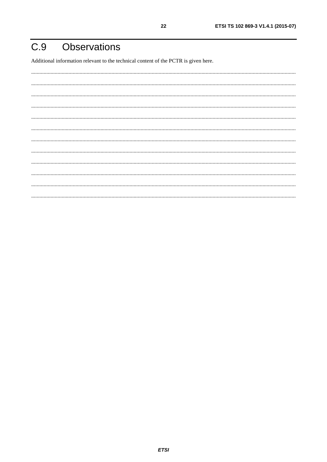#### <span id="page-21-0"></span>**Observations**  $C.9$

Additional information relevant to the technical content of the PCTR is given here.

22